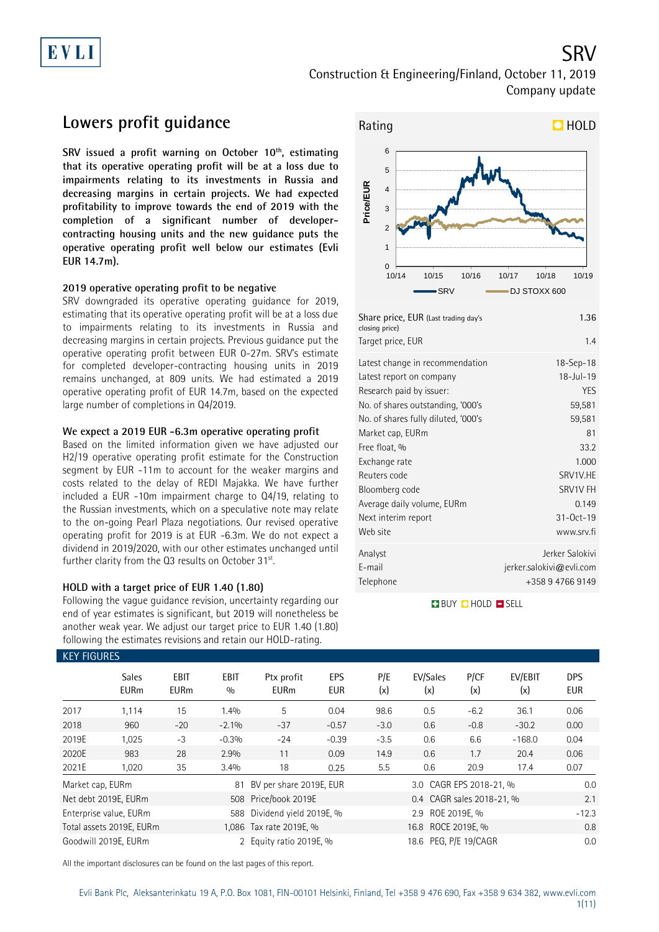

SRV

## **Lowers profit guidance**

**SRV issued a profit warning on October 10th, estimating that its operative operating profit will be at a loss due to impairments relating to its investments in Russia and decreasing margins in certain projects. We had expected profitability to improve towards the end of 2019 with the completion of a significant number of developercontracting housing units and the new guidance puts the operative operating profit well below our estimates (Evli EUR 14.7m).**

### **2019 operative operating profit to be negative**

SRV downgraded its operative operating guidance for 2019, estimating that its operative operating profit will be at a loss due to impairments relating to its investments in Russia and decreasing margins in certain projects. Previous guidance put the operative operating profit between EUR 0-27m. SRV's estimate for completed developer-contracting housing units in 2019 remains unchanged, at 809 units. We had estimated a 2019 operative operating profit of EUR 14.7m, based on the expected large number of completions in Q4/2019.

### **We expect a 2019 EUR -6.3m operative operating profit**

Based on the limited information given we have adjusted our H2/19 operative operating profit estimate for the Construction segment by EUR -11m to account for the weaker margins and costs related to the delay of REDI Majakka. We have further included a EUR -10m impairment charge to Q4/19, relating to the Russian investments, which on a speculative note may relate to the on-going Pearl Plaza negotiations. Our revised operative operating profit for 2019 is at EUR -6.3m. We do not expect a dividend in 2019/2020, with our other estimates unchanged until further clarity from the Q3 results on October 31<sup>st</sup>. .

### **HOLD with a target price of EUR 1.40 (1.80)**

Following the vague guidance revision, uncertainty regarding our end of year estimates is significant, but 2019 will nonetheless be another weak year. We adjust our target price to EUR 1.40 (1.80) following the estimates revisions and retain our HOLD-rating.



| Share price, EUR (Last trading day's<br>closing price)                                                                                                                                                                                                                                                           | 1.36                                                                                                                                         |
|------------------------------------------------------------------------------------------------------------------------------------------------------------------------------------------------------------------------------------------------------------------------------------------------------------------|----------------------------------------------------------------------------------------------------------------------------------------------|
| Target price, EUR                                                                                                                                                                                                                                                                                                | 1.4                                                                                                                                          |
| Latest change in recommendation<br>Latest report on company<br>Research paid by issuer:<br>No. of shares outstanding, '000's<br>No. of shares fully diluted, '000's<br>Market cap, EURm<br>Free float, %<br>Exchange rate<br>Reuters code<br>Bloomberg code<br>Average daily volume, EURm<br>Next interim report | $18 - Sep - 18$<br>$18$ -Jul-19<br><b>YFS</b><br>59,581<br>59,581<br>81<br>33.2<br>1.000<br>SRV1V.HE<br>SRV1V FH<br>0.149<br>$31 - Oct - 19$ |
| Web site                                                                                                                                                                                                                                                                                                         | www.srv.fi                                                                                                                                   |
| Analyst<br>F-mail<br>Telephone                                                                                                                                                                                                                                                                                   | Jerker Salokivi<br>jerker.salokivi@evli.com<br>+358 9 4766 9149                                                                              |

**BUY QHOLD SELL** 

| <b>KEY FIGURES</b> |                             |                     |             |                                               |                   |            |                           |             |                |                          |  |
|--------------------|-----------------------------|---------------------|-------------|-----------------------------------------------|-------------------|------------|---------------------------|-------------|----------------|--------------------------|--|
|                    | <b>Sales</b><br><b>EURm</b> | EBIT<br><b>EURm</b> | EBIT<br>0/0 | Ptx profit<br><b>EURm</b>                     | EPS<br><b>EUR</b> | P/E<br>(x) | EV/Sales<br>(x)           | P/CF<br>(x) | EV/EBIT<br>(x) | <b>DPS</b><br><b>EUR</b> |  |
| 2017               | 1,114                       | 15                  | 1.4%        | 5                                             | 0.04              | 98.6       | 0.5                       | $-6.2$      | 36.1           | 0.06                     |  |
| 2018               | 960                         | $-20$               | $-2.1\%$    | $-37$                                         | $-0.57$           | $-3.0$     | 0.6                       | $-0.8$      | $-30.2$        | 0.00                     |  |
| 2019E              | 1,025                       | $-3$                | $-0.3%$     | $-24$                                         | $-0.39$           | $-3.5$     | 0.6                       | 6.6         | $-168.0$       | 0.04                     |  |
| 2020E              | 983                         | 28                  | 2.9%        | 11                                            | 0.09              | 14.9       | 0.6                       | 1.7         | 20.4           | 0.06                     |  |
| 2021E              | 1.020                       | 35                  | 3.4%        | 18                                            | 0.25              | 5.5        | 0.6                       | 20.9        | 17.4           | 0.07                     |  |
| Market cap, EURm   |                             |                     | 81          | BV per share 2019E, EUR                       |                   |            | 3.0 CAGR EPS 2018-21, %   |             |                | 0.0                      |  |
|                    | Net debt 2019E, EURm        |                     |             | 508 Price/book 2019E                          |                   |            | 0.4 CAGR sales 2018-21, % |             |                | 2.1                      |  |
|                    | Enterprise value, EURm      |                     |             | 588 Dividend yield 2019E, %                   |                   |            | 2.9 ROE 2019E, %          |             |                |                          |  |
|                    | Total assets 2019E, EURm    |                     |             | 16.8 ROCE 2019E, %<br>1,086 Tax rate 2019E, % |                   |            |                           |             |                | 0.8                      |  |
|                    | Goodwill 2019E, EURm        |                     |             | 2 Equity ratio 2019E, %                       |                   |            | 18.6 PEG, P/E 19/CAGR     |             |                |                          |  |

All the important disclosures can be found on the last pages of this report.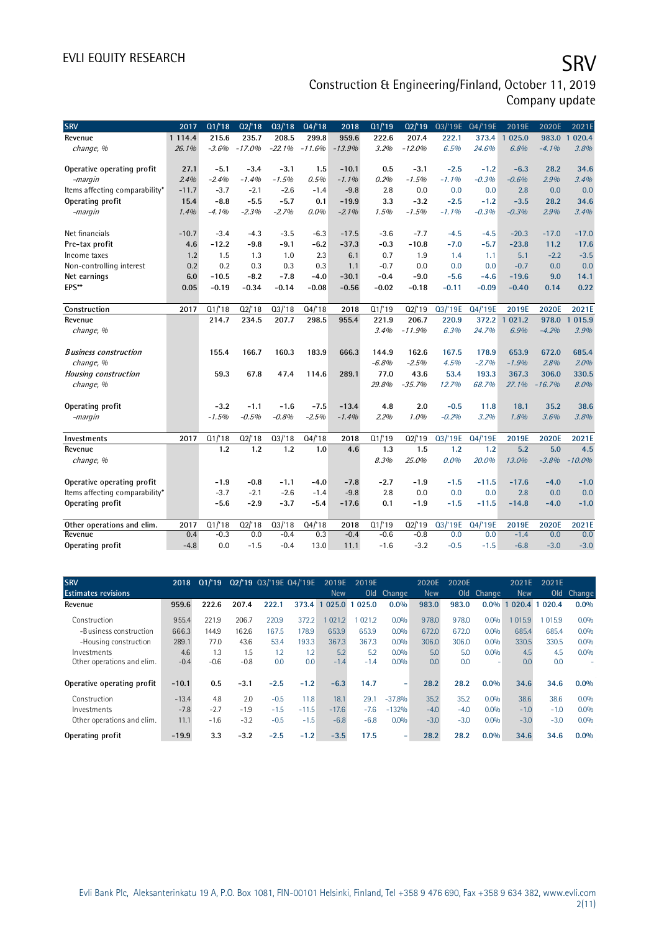# EVLI EQUITY RESEARCH SALL SOMETIME SAN SERVICE SERVICE SERVICE SERVICE SERVICE SERVICE SERVICE SERVICE SERVICE

Construction & Engineering/Finland, October 11, 2019 Company update

| <b>SRV</b>                     | 2017       | Q1/18   | Q2/18    | Q3/18    | Q4/18    | 2018     | Q1/19   | Q2/19    |         | 03/'19E 04/'19E | 2019E                 | 2020E    | 2021E                   |
|--------------------------------|------------|---------|----------|----------|----------|----------|---------|----------|---------|-----------------|-----------------------|----------|-------------------------|
| Revenue                        | 1 1 1 4 .4 | 215.6   | 235.7    | 208.5    | 299.8    | 959.6    | 222.6   | 207.4    | 222.1   | 373.4           | 025.0<br>$\mathbf{1}$ | 983.0    | 020.4<br>$\overline{1}$ |
| change, %                      | 26.1%      | $-3.6%$ | $-17.0%$ | $-22.1%$ | $-11.6%$ | $-13.9%$ | 3.2%    | $-12.0%$ | 6.5%    | 24.6%           | 6.8%                  | $-4.1%$  | 3.8%                    |
|                                |            |         |          |          |          |          |         |          |         |                 |                       |          |                         |
| Operative operating profit     | 27.1       | $-5.1$  | $-3.4$   | $-3.1$   | 1.5      | $-10.1$  | 0.5     | $-3.1$   | $-2.5$  | $-1.2$          | $-6.3$                | 28.2     | 34.6                    |
| -margin                        | 2.4%       | $-2.4%$ | $-1.4%$  | $-1.5%$  | 0.5%     | $-1.1%$  | 0.2%    | $-1.5%$  | $-1.1%$ | $-0.3%$         | $-0.6%$               | 2.9%     | 3.4%                    |
| Items affecting comparability* | $-11.7$    | $-3.7$  | $-2.1$   | $-2.6$   | $-1.4$   | $-9.8$   | 2.8     | 0.0      | 0.0     | 0.0             | 2.8                   | 0.0      | 0.0                     |
| Operating profit               | 15.4       | $-8.8$  | $-5.5$   | $-5.7$   | 0.1      | $-19.9$  | 3.3     | $-3.2$   | $-2.5$  | $-1.2$          | $-3.5$                | 28.2     | 34.6                    |
| -margin                        | 1.4%       | $-4.1%$ | $-2.3%$  | $-2.7%$  | $0.0\%$  | $-2.1%$  | 1.5%    | $-1.5%$  | $-1.1%$ | $-0.3%$         | $-0.3%$               | 2.9%     | 3.4%                    |
| Net financials                 | $-10.7$    | $-3.4$  | $-4.3$   | $-3.5$   | $-6.3$   | $-17.5$  | $-3.6$  | $-7.7$   | $-4.5$  | $-4.5$          | $-20.3$               | $-17.0$  | $-17.0$                 |
| Pre-tax profit                 | 4.6        | $-12.2$ | $-9.8$   | $-9.1$   | $-6.2$   | $-37.3$  | $-0.3$  | $-10.8$  | $-7.0$  | $-5.7$          | $-23.8$               | 11.2     | 17.6                    |
| Income taxes                   | 1.2        | 1.5     | 1.3      | 1.0      | 2.3      | 6.1      | 0.7     | 1.9      | 1.4     | 1.1             | 5.1                   | $-2.2$   | $-3.5$                  |
| Non-controlling interest       | 0.2        | 0.2     | 0.3      | 0.3      | 0.3      | 1.1      | $-0.7$  | 0.0      | 0.0     | 0.0             | $-0.7$                | 0.0      | 0.0                     |
| Net earnings                   | 6.0        | $-10.5$ | $-8.2$   | $-7.8$   | $-4.0$   | $-30.1$  | $-0.4$  | $-9.0$   | $-5.6$  | $-4.6$          | $-19.6$               | 9.0      | 14.1                    |
| EPS**                          | 0.05       | $-0.19$ | $-0.34$  | $-0.14$  | $-0.08$  | $-0.56$  | $-0.02$ | $-0.18$  | $-0.11$ | $-0.09$         | $-0.40$               | 0.14     | 0.22                    |
|                                |            |         |          |          |          |          |         |          |         |                 |                       |          |                         |
| Construction                   | 2017       | Q1/18   | Q2/18    | Q3/18    | Q4/18    | 2018     | Q1/19   | Q2/19    | Q3/'19E | Q4/'19E         | 2019E                 | 2020E    | 2021E                   |
| Revenue                        |            | 214.7   | 234.5    | 207.7    | 298.5    | 955.4    | 221.9   | 206.7    | 220.9   | 372.2 1         | 021.2                 | 978.0    | 015.9<br>$\mathbf{1}$   |
| change, %                      |            |         |          |          |          |          | 3.4%    | $-11.9%$ | 6.3%    | 24.7%           | 6.9%                  | $-4.2%$  | 3.9%                    |
|                                |            |         |          |          |          |          |         |          |         |                 |                       |          |                         |
| <b>Business construction</b>   |            | 155.4   | 166.7    | 160.3    | 183.9    | 666.3    | 144.9   | 162.6    | 167.5   | 178.9           | 653.9                 | 672.0    | 685.4                   |
| change, %                      |            |         |          |          |          |          | $-6.8%$ | $-2.5%$  | 4.5%    | $-2.7%$         | $-1.9%$               | 2.8%     | 2.0%                    |
| <b>Housing construction</b>    |            | 59.3    | 67.8     | 47.4     | 114.6    | 289.1    | 77.0    | 43.6     | 53.4    | 193.3           | 367.3                 | 306.0    | 330.5                   |
| change, %                      |            |         |          |          |          |          | 29.8%   | $-35.7%$ | 12.7%   | 68.7%           | 27.1%                 | $-16.7%$ | 8.0%                    |
|                                |            |         |          |          |          |          |         |          |         |                 |                       |          |                         |
| Operating profit               |            | $-3.2$  | $-1.1$   | $-1.6$   | $-7.5$   | $-13.4$  | 4.8     | 2.0      | $-0.5$  | 11.8            | 18.1                  | 35.2     | 38.6                    |
| -margin                        |            | $-1.5%$ | $-0.5%$  | $-0.8%$  | $-2.5%$  | $-1.4%$  | 2.2%    | 1.0%     | $-0.2%$ | 3.2%            | 1.8%                  | 3.6%     | 3.8%                    |
| Investments                    | 2017       | Q1/18   | Q2/18    | Q3/18    | Q4/18    | 2018     | Q1/19   | Q2/19    | Q3/'19E | Q4/'19E         | 2019E                 | 2020E    | 2021E                   |
| Revenue                        |            | 1.2     | 1.2      | 1.2      | 1.0      | 4.6      | 1.3     | 1.5      | 1.2     | 1.2             | 5.2                   | 5.0      | 4.5                     |
| change, %                      |            |         |          |          |          |          | 8.3%    | 25.0%    | 0.0%    | 20.0%           | 13.0%                 | $-3.8%$  | $-10.0%$                |
|                                |            |         |          |          |          |          |         |          |         |                 |                       |          |                         |
| Operative operating profit     |            | $-1.9$  | $-0.8$   | $-1.1$   | -4.0     | $-7.8$   | $-2.7$  | $-1.9$   | $-1.5$  | $-11.5$         | $-17.6$               | $-4.0$   | $-1.0$                  |
| Items affecting comparability* |            | $-3.7$  | $-2.1$   | $-2.6$   | $-1.4$   | $-9.8$   | 2.8     | 0.0      | 0.0     | 0.0             | 2.8                   | 0.0      | 0.0                     |
| Operating profit               |            | $-5.6$  | $-2.9$   | $-3.7$   | $-5.4$   | $-17.6$  | 0.1     | $-1.9$   | $-1.5$  | $-11.5$         | $-14.8$               | $-4.0$   | $-1.0$                  |
|                                |            |         |          |          |          |          |         |          |         |                 |                       |          |                         |
| Other operations and elim.     | 2017       | Q1/18   | Q2/18    | Q3/18    | Q4/18    | 2018     | Q1/19   | Q2/19    | Q3/19E  | Q4/'19E         | 2019E                 | 2020E    | 2021E                   |
| Revenue                        | 0.4        | $-0.3$  | 0.0      | $-0.4$   | 0.3      | $-0.4$   | $-0.6$  | $-0.8$   | 0.0     | 0.0             | $-1.4$                | 0.0      | 0.0                     |
| Operating profit               | $-4.8$     | 0.0     | $-1.5$   | $-0.4$   | 13.0     | 11.1     | $-1.6$  | $-3.2$   | $-0.5$  | $-1.5$          | $-6.8$                | $-3.0$   | $-3.0$                  |

| SRV                        | 2018    | Q1/19  |        | 02/'19 03/'19E 04/'19E |         | 2019E      | 2019E  |          | 2020E      | 2020E           |         | 2021E      | 2021E  |               |
|----------------------------|---------|--------|--------|------------------------|---------|------------|--------|----------|------------|-----------------|---------|------------|--------|---------------|
| <b>Estimates revisions</b> |         |        |        |                        |         | <b>New</b> | Old    | Change   | <b>New</b> | O <sub>Id</sub> | Change  | <b>New</b> | Old    | <b>Change</b> |
| Revenue                    | 959.6   | 222.6  | 207.4  | 222.1                  | 373.4   | 025.0      | 025.0  | $0.0\%$  | 983.0      | 983.0           | $0.0\%$ | 020.4      | 020.4  | $0.0\%$       |
| Construction               | 955.4   | 221.9  | 206.7  | 220.9                  | 372.2   | 021.2      | 1021.2 | 0.0%     | 978.0      | 978.0           | 0.0%    | 015.9      | 1015.9 | 0.0%          |
| -Business construction     | 666.3   | 144.9  | 162.6  | 167.5                  | 178.9   | 653.9      | 653.9  | 0.0%     | 672.0      | 672.0           | 0.0%    | 685.4      | 685.4  | 0.0%          |
| -Housing construction      | 289.1   | 77.0   | 43.6   | 53.4                   | 193.3   | 367.3      | 367.3  | 0.0%     | 306.0      | 306.0           | 0.0%    | 330.5      | 330.5  | 0.0%          |
| Investments                | 4.6     | 1.3    | 1.5    | 1.2                    | 1.2     | 5.2        | 5.2    | 0.0%     | 5.0        | 5.0             | 0.0%    | 4.5        | 4.5    | 0.0%          |
| Other operations and elim. | $-0.4$  | $-0.6$ | $-0.8$ | 0.0                    | 0.0     | $-1.4$     | $-1.4$ | 0.0%     | 0.0        | 0.0             |         | 0.0        | 0.0    | $\sim$        |
| Operative operating profit | $-10.1$ | 0.5    | $-3.1$ | $-2.5$                 | $-1.2$  | $-6.3$     | 14.7   | -        | 28.2       | 28.2            | $0.0\%$ | 34.6       | 34.6   | $0.0\%$       |
| Construction               | $-13.4$ | 4.8    | 2.0    | $-0.5$                 | 11.8    | 18.1       | 29.1   | $-37.8%$ | 35.2       | 35.2            | 0.0%    | 38.6       | 38.6   | 0.0%          |
| Investments                | $-7.8$  | $-2.7$ | $-1.9$ | $-1.5$                 | $-11.5$ | $-17.6$    | $-7.6$ | $-132%$  | $-4.0$     | $-4.0$          | 0.0%    | $-1.0$     | $-1.0$ | 0.0%          |
| Other operations and elim. | 11.1    | $-1.6$ | $-3.2$ | $-0.5$                 | $-1.5$  | $-6.8$     | $-6.8$ | 0.0%     | $-3.0$     | $-3.0$          | 0.0%    | $-3.0$     | $-3.0$ | 0.0%          |
| Operating profit           | $-19.9$ | 3.3    | $-3.2$ | $-2.5$                 | $-1.2$  | $-3.5$     | 17.5   | -        | 28.2       | 28.2            | $0.0\%$ | 34.6       | 34.6   | $0.0\%$       |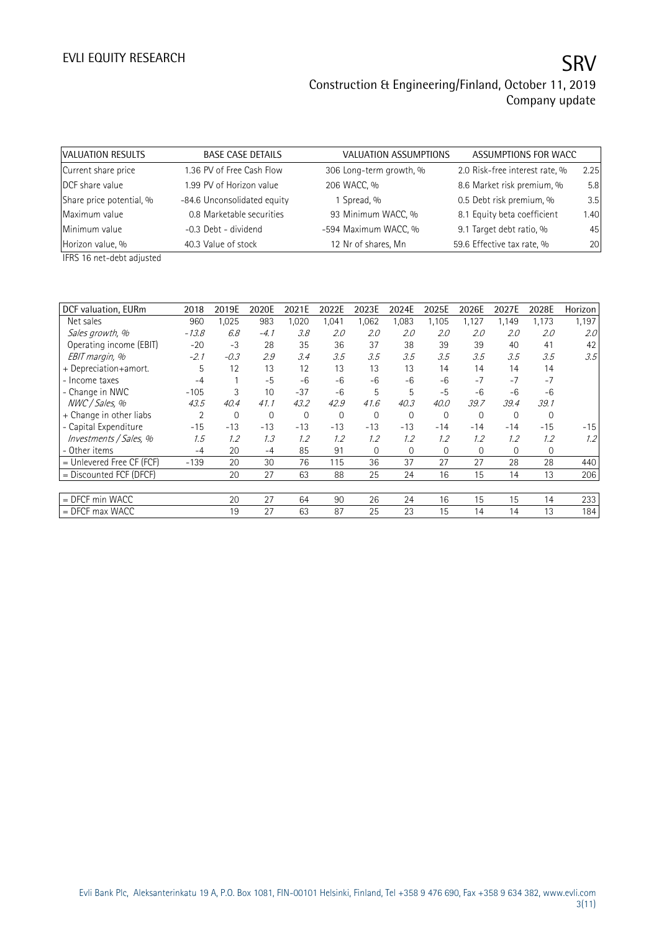| VALUATION RESULTS        | <b>BASE CASE DETAILS</b>    | VALUATION ASSUMPTIONS   | ASSUMPTIONS FOR WACC           |      |
|--------------------------|-----------------------------|-------------------------|--------------------------------|------|
| Current share price      | 1.36 PV of Free Cash Flow   | 306 Long-term growth, % | 2.0 Risk-free interest rate, % | 2.25 |
| DCF share value          | 1.99 PV of Horizon value    | 206 WACC, %             | 8.6 Market risk premium, %     | 5.8  |
| Share price potential, % | -84.6 Unconsolidated equity | 1 Spread, %             | 0.5 Debt risk premium, %       | 3.5  |
| Maximum value            | 0.8 Marketable securities   | 93 Minimum WACC, %      | 8.1 Equity beta coefficient    | 1.40 |
| Minimum value            | -0.3 Debt - dividend        | -594 Maximum WACC, %    | 9.1 Target debt ratio, %       | 45   |
| Horizon value, %         | 40.3 Value of stock         | 12 Nr of shares, Mn     | 59.6 Effective tax rate, %     | 20   |

IFRS 16 net-debt adjusted

| DCF valuation, EURm       | 2018    | 2019E  | 2020E       | 2021E        | 2022E        | 2023E       | 2024E        | 2025E    | 2026E        | 2027E    | 2028E       | Horizon |
|---------------------------|---------|--------|-------------|--------------|--------------|-------------|--------------|----------|--------------|----------|-------------|---------|
| Net sales                 | 960     | 1,025  | 983         | 1,020        | 1,041        | 1,062       | 1,083        | 1,105    | 1,127        | 1,149    | 1,173       | 1,197   |
| Sales growth, %           | $-13.8$ | 6.8    | $-4.1$      | 3.8          | 2.0          | 2.0         | 2.0          | 2.0      | 2.0          | 2.0      | 2.0         | 2.0     |
| Operating income (EBIT)   | $-20$   | -3     | 28          | 35           | 36           | 37          | 38           | 39       | 39           | 40       | 41          | 42      |
| EBIT margin, %            | $-2.1$  | $-0.3$ | 2.9         | 3.4          | 3.5          | 3.5         | 3.5          | 3.5      | 3.5          | 3.5      | 3.5         | 3.5     |
| + Depreciation+amort.     | 5       | 12     | 13          | 12           | 13           | 13          | 13           | 14       | 14           | 14       | 14          |         |
| - Income taxes            | $-4$    |        | $-5$        | $-6$         | $-6$         | -6          | $-6$         | $-6$     | $-7$         | $-7$     | $-7$        |         |
| - Change in NWC           | $-105$  | 3      | 10          | $-37$        | $-6$         | 5           | 5            | $-5$     | $-6$         | $-6$     | $-6$        |         |
| NWC / Sales, %            | 43.5    | 40.4   | 41.1        | 43.2         | 42.9         | 41.6        | 40.3         | 40.0     | 39.7         | 39.4     | 39.1        |         |
| + Change in other liabs   | 2       | 0      | $\mathbf 0$ | $\mathbf{0}$ | $\mathbf{0}$ | $\mathbf 0$ | 0            | 0        | $\mathbf 0$  | 0        | $\mathbf 0$ |         |
| - Capital Expenditure     | $-15$   | $-13$  | $-13$       | $-13$        | $-13$        | $-13$       | $-13$        | $-14$    | $-14$        | $-14$    | $-15$       | $-15$   |
| Investments / Sales, %    | 1.5     | 1.2    | 1.3         | 1.2          | 1.2          | 1.2         | 1.2          | 1.2      | 1.2          | 1.2      | 1.2         | 1.2     |
| - Other items             | $-4$    | 20     | $-4$        | 85           | 91           | $\Omega$    | $\mathbf{0}$ | $\Omega$ | $\mathbf{0}$ | $\Omega$ | 0           |         |
| = Unlevered Free CF (FCF) | $-139$  | 20     | 30          | 76           | 115          | 36          | 37           | 27       | 27           | 28       | 28          | 440     |
| $=$ Discounted FCF (DFCF) |         | 20     | 27          | 63           | 88           | 25          | 24           | 16       | 15           | 14       | 13          | 206     |
|                           |         |        |             |              |              |             |              |          |              |          |             |         |
| = DFCF min WACC           |         | 20     | 27          | 64           | 90           | 26          | 24           | 16       | 15           | 15       | 14          | 233     |
| $=$ DFCF max WACC         |         | 19     | 27          | 63           | 87           | 25          | 23           | 15       | 14           | 14       | 13          | 184     |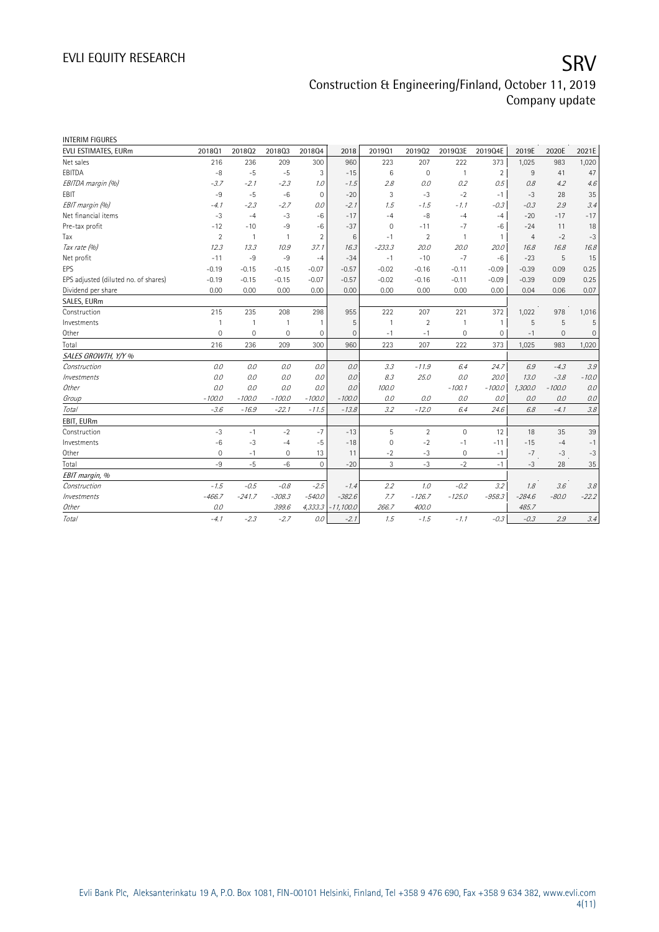| <b>INTERIM FIGURES</b>               |                |                |                |                |              |                |                |                |                |                |             |         |
|--------------------------------------|----------------|----------------|----------------|----------------|--------------|----------------|----------------|----------------|----------------|----------------|-------------|---------|
| EVLI ESTIMATES, EURm                 | 201801         | 201802         | 201803         | 201804         | 2018         | 2019Q1         | 201902         | 2019Q3E        | 2019Q4E        | 2019E          | 2020E       | 2021E   |
| Net sales                            | 216            | 236            | 209            | 300            | 960          | 223            | 207            | 222            | 373            | 1,025          | 983         | 1,020   |
| EBITDA                               | $-8$           | $-5$           | $-5$           | 3              | $-15$        | 6              | $\mathbf 0$    | $\overline{1}$ | $\overline{2}$ | 9              | 41          | 47      |
| EBITDA margin (%)                    | -3.7           | $-2.1$         | $-2.3$         | 1.0            | $-1.5$       | 2.8            | 0.0            | 0.2            | 0.5            | 0.8            | 4.2         | 4.6     |
| <b>FBIT</b>                          | $-9$           | $-5$           | $-6$           | $\mathbf 0$    | $-20$        | 3              | $-3$           | $-2$           | $-1$           | $-3$           | 28          | 35      |
| EBIT margin (%)                      | $-4.1$         | $-2.3$         | $-2.7$         | 0.0            | $-2.1$       | 1.5            | $-1.5$         | $-1.1$         | $-0.3$         | $-0.3$         | 2.9         | 3.4     |
| Net financial items                  | $-3$           | $-4$           | $-3$           | $-6$           | $-17$        | $-4$           | $-8$           | $-4$           | $-4$           | $-20$          | $-17$       | $-17$   |
| Pre-tax profit                       | $-12$          | $-10$          | -9             | $-6$           | $-37$        | $\mathbf 0$    | $-11$          | $-7$           | $-6$           | $-24$          | 11          | 18      |
| Tax                                  | $\overline{2}$ | $\overline{1}$ | $\overline{1}$ | $\mathfrak{D}$ | 6            | $-1$           | 2              | 1              | $\mathbf{1}$   | $\overline{4}$ | $-2$        | $-3$    |
| Tax rate (%)                         | 12.3           | 13.3           | 10.9           | 37.1           | 16.3         | $-233.3$       | 20.0           | 20.0           | 20.0           | 16.8           | 16.8        | 16.8    |
| Net profit                           | $-11$          | $-9$           | $-9$           | $-4$           | $-34$        | $-1$           | $-10$          | $-7$           | $-6$           | $-23$          | 5           | 15      |
| EPS                                  | $-0.19$        | $-0.15$        | $-0.15$        | $-0.07$        | $-0.57$      | $-0.02$        | $-0.16$        | $-0.11$        | $-0.09$        | $-0.39$        | 0.09        | 0.25    |
| EPS adjusted (diluted no. of shares) | $-0.19$        | $-0.15$        | $-0.15$        | $-0.07$        | $-0.57$      | $-0.02$        | $-0.16$        | $-0.11$        | $-0.09$        | $-0.39$        | 0.09        | 0.25    |
| Dividend per share                   | 0.00           | 0.00           | 0.00           | 0.00           | 0.00         | 0.00           | 0.00           | 0.00           | 0.00           | 0.04           | 0.06        | 0.07    |
| SALES, EURm                          |                |                |                |                |              |                |                |                |                |                |             |         |
| Construction                         | 215            | 235            | 208            | 298            | 955          | 222            | 207            | 221            | 372            | 1,022          | 978         | 1,016   |
| Investments                          | $\mathbf{1}$   | $\mathbf{1}$   | $\mathbf{1}$   | $\overline{1}$ | 5            | $\overline{1}$ | $\overline{2}$ | $\mathbf{1}$   | $\mathbf{1}$   | 5              | 5           | 5       |
| Other                                | 0              | 0              | 0              | 0              | $\mathbf{0}$ | $-1$           | $-1$           | 0              | 0              | $-1$           | $\mathbf 0$ | 0       |
| Total                                | 216            | 236            | 209            | 300            | 960          | 223            | 207            | 222            | 373            | 1,025          | 983         | 1,020   |
| SALES GROWTH, Y/Y %                  |                |                |                |                |              |                |                |                |                |                |             |         |
| Construction                         | 0.0            | 0.0            | 0.0            | 0.0            | 0.0          | 3.3            | $-11.9$        | 6.4            | 24.7           | 6.9            | $-4.3$      | 3.9     |
| Investments                          | 0.0            | 0.0            | 0.0            | 0.0            | 0.0          | 8.3            | 25.0           | 0.0            | 20.0           | 13.0           | $-3.8$      | $-10.0$ |
| Other                                | 0.0            | 0.0            | 0.0            | 0.0            | 0.0          | 100.0          |                | $-100.1$       | $-100.0$       | 1,300.0        | $-100.0$    | 0.0     |
| Group                                | $-100.0$       | $-100.0$       | $-100.0$       | $-100.0$       | $-100.0$     | 0.0            | 0.0            | 0.0            | 0.0            | 0.0            | 0.0         | 0.0     |
| Total                                | $-3.6$         | $-16.9$        | $-22.1$        | $-11.5$        | $-13.8$      | 3.2            | $-12.0$        | 6.4            | 24.6           | 6.8            | $-4.1$      | 3.8     |
| EBIT, EURm                           |                |                |                |                |              |                |                |                |                |                |             |         |
| Construction                         | $-3$           | $-1$           | $-2$           | $-7$           | $-13$        | 5              | $\overline{2}$ | 0              | 12             | 18             | 35          | 39      |
| Investments                          | $-6$           | $-3$           | $-4$           | $-5$           | $-18$        | $\mathbf 0$    | $-2$           | $-1$           | $-11$          | $-15$          | $-4$        | $-1$    |
| Other                                | $\mathbf 0$    | $-1$           | $\mathbf{0}$   | 13             | 11           | $-2$           | $-3$           | 0              | $-1$           | $-7$           | $-3$        | $-3$    |
| Total                                | $-9$           | $-5$           | $-6$           | $\mathbf{0}$   | $-20$        | 3              | $-3$           | $-2$           | $-1$           | $-3$           | 28          | 35      |
| EBIT margin, %                       |                |                |                |                |              |                |                |                |                |                |             |         |
| Construction                         | $-1.5$         | $-0.5$         | $-0.8$         | $-2.5$         | $-1.4$       | 2.2            | 1.0            | $-0.2$         | 3.2            | 1.8            | 3.6         | 3.8     |
| Investments                          | $-466.7$       | $-241.7$       | $-308.3$       | $-540.0$       | $-382.6$     | 7.7            | $-126.7$       | $-125.0$       | $-958.3$       | $-284.6$       | $-80.0$     | $-22.2$ |
| Other                                | 0.0            |                | 399.6          | 4,333.3        | $-11,100.0$  | 266.7          | 400.0          |                |                | 485.7          |             |         |
| Total                                | $-4.1$         | $-2.3$         | $-2.7$         | 0.0            | $-2.1$       | 1.5            | $-1.5$         | $-1.1$         | $-0.3$         | $-0.3$         | 2.9         | 3.4     |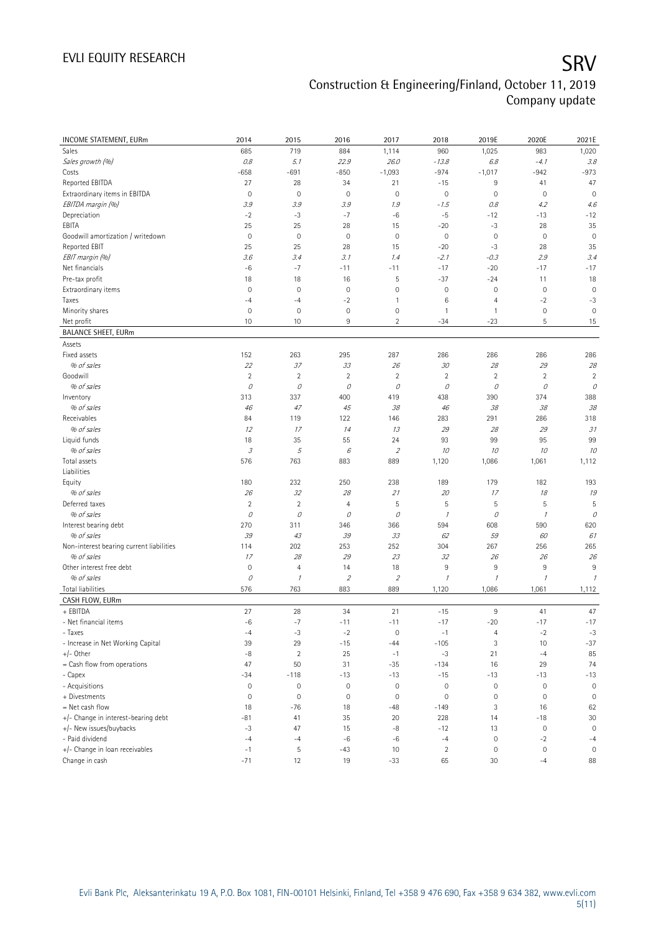| <b>INCOME STATEMENT, EURm</b>            | 2014                | 2015           | 2016                | 2017                        | 2018         | 2019E               | 2020E        | 2021E               |
|------------------------------------------|---------------------|----------------|---------------------|-----------------------------|--------------|---------------------|--------------|---------------------|
| Sales                                    | 685                 | 719            | 884                 | 1,114                       | 960          | 1,025               | 983          | 1,020               |
| Sales growth (%)                         | 0.8                 | 5.1            | 22.9                | 26.0                        | $-13.8$      | 6.8                 | $-4.1$       | 3.8                 |
| Costs                                    | $-658$              | $-691$         | $-850$              | $-1,093$                    | $-974$       | $-1,017$            | $-942$       | $-973$              |
| Reported EBITDA                          | 27                  | 28             | 34                  | 21                          | $-15$        | 9                   | 41           | 47                  |
| Extraordinary items in EBITDA            | $\mathbf 0$         | $\mathbf 0$    | $\mathsf{O}\xspace$ | $\mathsf{O}\xspace$         | $\mathbb O$  | $\mathsf{O}\xspace$ | $\mathbf 0$  | $\mathbb O$         |
| EBITDA margin (%)                        | 3.9                 | 3.9            | 3.9                 | 1.9                         | $-1.5$       | 0.8                 | 4.2          | 4.6                 |
| Depreciation                             | $-2$                | $-3$           | $-7$                | $-6$                        | $-5$         | $-12$               | $-13$        | $-12$               |
| EBITA                                    | 25                  | 25             | 28                  | 15                          | $-20$        | $-3$                | 28           | 35                  |
| Goodwill amortization / writedown        | $\mathbf 0$         | $\mathbf 0$    | $\mathsf{O}\xspace$ | $\mathsf{O}\xspace$         | $\mathbf 0$  | $\mathbf 0$         | $\mathbf 0$  | $\mathbb O$         |
| Reported EBIT                            | 25                  | 25             | 28                  | 15                          | $-20$        | $-3$                | 28           | 35                  |
| EBIT margin (%)                          | 3.6                 | 3.4            | 3.1                 | 1.4                         | $-2.1$       | $-0.3$              | 2.9          | 3.4                 |
| Net financials                           | $-6$                | $-7$           | $-11$               | $-11$                       | $-17$        | $-20$               | $-17$        | $-17$               |
| Pre-tax profit                           | 18                  | 18             | 16                  | 5                           | $-37$        | $-24$               | 11           | 18                  |
| Extraordinary items                      | $\mathbf 0$         | 0              | $\mathsf{O}\xspace$ | $\mathsf{O}\xspace$         | $\mathbf 0$  | 0                   | $\mathbf 0$  | $\mathbb O$         |
| Taxes                                    | $-4$                | $-4$           | $-2$                | $\mathbf{1}$                | 6            | 4                   | $-2$         | $-3$                |
| Minority shares                          | $\mathbf 0$         | 0              | $\mathsf{O}\xspace$ | $\mathsf{O}\xspace$         | 1            | $\mathbf{1}$        | $\mathbf 0$  | $\mathbf 0$         |
| Net profit                               | 10                  | 10             | 9                   | $\overline{2}$              | $-34$        | $-23$               | $\mathsf S$  | 15                  |
| <b>BALANCE SHEET, EURm</b>               |                     |                |                     |                             |              |                     |              |                     |
| Assets                                   |                     |                |                     |                             |              |                     |              |                     |
| Fixed assets                             | 152                 | 263            | 295                 | 287                         | 286          | 286                 | 286          | 286                 |
| % of sales                               | 22                  | 37             | 33                  | 26                          | 30           | 28                  | 29           | 28                  |
| Goodwill                                 | $\sqrt{2}$          | $\overline{c}$ | $\overline{2}$      | $\sqrt{2}$                  | $\sqrt{2}$   | $\overline{2}$      | $\sqrt{2}$   | $\overline{2}$      |
| % of sales                               | 0                   | 0              | 0                   | 0                           | 0            | 0                   | 0            | 0                   |
| Inventory                                | 313                 | 337            | 400                 | 419                         | 438          | 390                 | 374          | 388                 |
| % of sales                               | 46                  | 47             | 45                  | 38                          | 46           | 38                  | 38           | 38                  |
| Receivables                              | 84                  | 119            | 122                 | 146                         | 283          | 291                 | 286          | 318                 |
| % of sales                               | 12                  | 17             | 14                  | 13                          | 29           | 28                  | 29           | 31                  |
| Liquid funds                             | 18                  | 35             | 55                  | 24                          | 93           | 99                  | 95           | 99                  |
| % of sales                               | $\mathcal{I}% _{G}$ | 5              | 6                   | $\overline{2}$              | 10           | 10                  | 10           | 10                  |
| Total assets<br>Liabilities              | 576                 | 763            | 883                 | 889                         | 1,120        | 1,086               | 1,061        | 1,112               |
| Equity                                   | 180                 | 232            | 250                 | 238                         | 189          | 179                 | 182          | 193                 |
| % of sales                               | 26                  | 32             | 28                  | 21                          | 20           | 17                  | 18           | 19                  |
| Deferred taxes                           | $\sqrt{2}$          | $\sqrt{2}$     | $\overline{4}$      | 5                           | 5            | 5                   | $\sqrt{5}$   | 5                   |
| % of sales                               | 0                   | 0              | 0                   | 0                           | $\mathcal I$ | 0                   | $\mathcal I$ | 0                   |
| Interest bearing debt                    | 270                 | 311            | 346                 | 366                         | 594          | 608                 | 590          | 620                 |
| % of sales                               | 39                  | 43             | 39                  | 33                          | 62           | 59                  | 60           | 61                  |
| Non-interest bearing current liabilities | 114                 | 202            | 253                 | 252                         | 304          | 267                 | 256          | 265                 |
| % of sales                               | 17                  | 28             | 29                  | 23                          | 32           | 26                  | 26           | 26                  |
| Other interest free debt                 | $\mathbf 0$         | $\overline{4}$ | 14                  | 18                          | 9            | 9                   | 9            | 9                   |
| % of sales                               | 0                   | $\mathcal{I}$  | $\overline{2}$      | $\mathcal{L}_{\mathcal{L}}$ | $\mathcal I$ | $\mathcal{I}$       | $\mathcal I$ | $\mathcal I$        |
| Total liabilities                        | 576                 | 763            | 883                 | 889                         | 1,120        | 1,086               | 1,061        | 1,112               |
| CASH FLOW, EURm                          |                     |                |                     |                             |              |                     |              |                     |
| + EBITDA                                 | 27                  | 28             | 34                  | 21                          | $-15$        | 9                   | 41           | 47                  |
| - Net financial items                    | $-6$                | $-7$           | $-11$               | $-11$                       | $-17$        | $-20$               | $-17$        | $-17$               |
| - Taxes                                  | $-4$                | $-3$           | $-2$                | $\mathsf{O}\xspace$         | $-1$         | $\overline{4}$      | $-2$         | $-3$                |
| - Increase in Net Working Capital        | 39                  | 29             | $-15$               | $-44$                       | $-105$       | 3                   | 10           | $-37$               |
| $+/-$ Other                              | $-8$                | $\overline{c}$ | 25                  | $-1$                        | $-3$         | 21                  | $-4$         | 85                  |
| = Cash flow from operations              | 47                  | 50             | 31                  | $-35$                       | $-134$       | 16                  | 29           | 74                  |
| - Capex                                  | $-34$               | $-118$         | $-13$               | $-13$                       | $-15$        | $-13$               | $-13$        | $-13$               |
| - Acquisitions                           | $\mathbf 0$         | 0              | $\mathsf{O}\xspace$ | $\mathsf{O}\xspace$         | $\mathbf 0$  | $\mathbb O$         | $\mathbf 0$  | $\mathsf{O}\xspace$ |
| + Divestments                            | $\mathbf 0$         | 0              | $\mathsf{O}\xspace$ | $\mathsf{O}\xspace$         | $\mathbf 0$  | $\mathsf{O}\xspace$ | $\mathbf 0$  | $\mathbf 0$         |
| $=$ Net cash flow                        | 18                  | $-76$          | 18                  | $-48$                       | $-149$       | 3                   | 16           | 62                  |
| +/- Change in interest-bearing debt      | $-81$               | 41             | 35                  | 20                          | 228          | 14                  | $-18$        | $30\,$              |
| +/- New issues/buybacks                  | $-3$                | 47             | 15                  | $-8$                        | $-12$        | 13                  | $\mathbf 0$  | $\mathbf 0$         |
| - Paid dividend                          | $-4$                | $-4$           | $-6$                | $-6$                        | $-4$         | $\mathsf{O}\xspace$ | $-2$         | $-4$                |
| +/- Change in loan receivables           | $-1$                | 5              | $-43$               | 10                          | $\sqrt{2}$   | 0                   | $\mathbf 0$  | $\mathbf 0$         |
| Change in cash                           | $-71$               | 12             | 19                  | $-33$                       | 65           | 30                  | $-4$         | 88                  |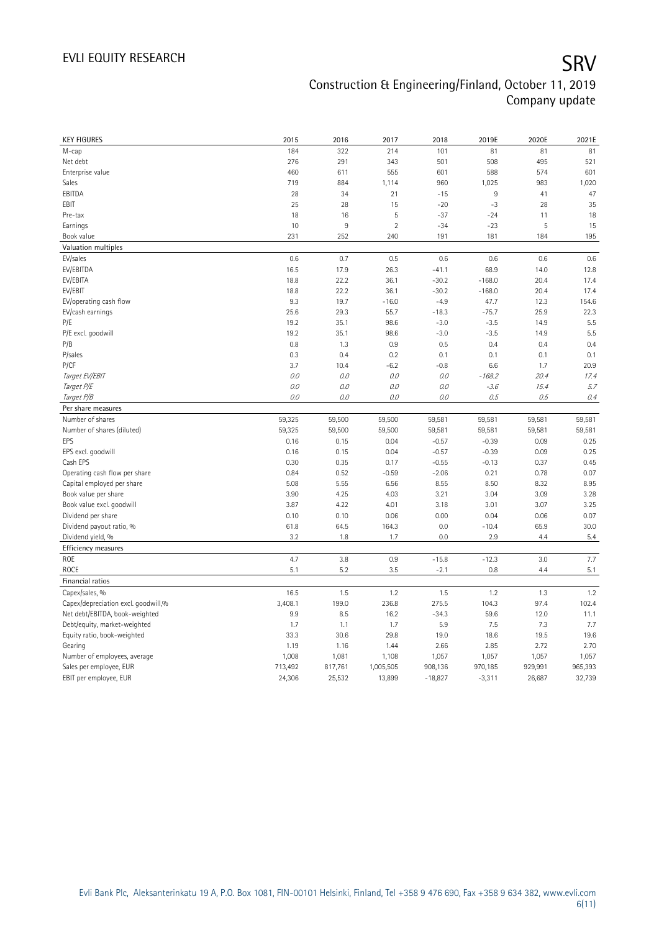| <b>KEY FIGURES</b>                  | 2015    | 2016    | 2017           | 2018      | 2019E    | 2020E   | 2021E   |
|-------------------------------------|---------|---------|----------------|-----------|----------|---------|---------|
| M-cap                               | 184     | 322     | 214            | 101       | 81       | 81      | 81      |
| Net debt                            | 276     | 291     | 343            | 501       | 508      | 495     | 521     |
| Enterprise value                    | 460     | 611     | 555            | 601       | 588      | 574     | 601     |
| Sales                               | 719     | 884     | 1,114          | 960       | 1,025    | 983     | 1,020   |
| EBITDA                              | 28      | 34      | 21             | $-15$     | 9        | 41      | 47      |
| EBIT                                | 25      | 28      | 15             | $-20$     | $-3$     | 28      | 35      |
| Pre-tax                             | 18      | 16      | 5              | $-37$     | $-24$    | 11      | 18      |
| Earnings                            | 10      | $9\,$   | $\overline{2}$ | $-34$     | $-23$    | 5       | 15      |
| Book value                          | 231     | 252     | 240            | 191       | 181      | 184     | 195     |
| Valuation multiples                 |         |         |                |           |          |         |         |
| EV/sales                            | 0.6     | 0.7     | 0.5            | 0.6       | 0.6      | 0.6     | 0.6     |
| EV/EBITDA                           | 16.5    | 17.9    | 26.3           | $-41.1$   | 68.9     | 14.0    | 12.8    |
| EV/EBITA                            | 18.8    | 22.2    | 36.1           | $-30.2$   | $-168.0$ | 20.4    | 17.4    |
| EV/EBIT                             | 18.8    | 22.2    | 36.1           | $-30.2$   | $-168.0$ | 20.4    | 17.4    |
| EV/operating cash flow              | 9.3     | 19.7    | $-16.0$        | $-4.9$    | 47.7     | 12.3    | 154.6   |
| EV/cash earnings                    | 25.6    | 29.3    | 55.7           | $-18.3$   | $-75.7$  | 25.9    | 22.3    |
| P/E                                 | 19.2    | 35.1    | 98.6           | $-3.0$    | $-3.5$   | 14.9    | 5.5     |
| P/E excl. goodwill                  | 19.2    | 35.1    | 98.6           | $-3.0$    | $-3.5$   | 14.9    | 5.5     |
| P/B                                 | 0.8     | 1.3     | 0.9            | 0.5       | 0.4      | 0.4     | 0.4     |
| P/sales                             | 0.3     | 0.4     | 0.2            | 0.1       | 0.1      | 0.1     | 0.1     |
| P/CF                                | 3.7     | 10.4    | $-6.2$         | $-0.8$    | 6.6      | 1.7     | 20.9    |
| Target EV/EBIT                      | 0.0     | 0.0     | $0.0\,$        | 0.0       | $-168.2$ | 20.4    | 17.4    |
| Target P/E                          | 0.0     | 0.0     | 0.0            | 0.0       | $-3.6$   | 15.4    | 5.7     |
| Target P/B                          | 0.0     | 0.0     | 0.0            | 0.0       | 0.5      | 0.5     | 0.4     |
| Per share measures                  |         |         |                |           |          |         |         |
| Number of shares                    | 59,325  | 59,500  | 59,500         | 59,581    | 59,581   | 59,581  | 59,581  |
| Number of shares (diluted)          | 59,325  | 59,500  | 59,500         | 59,581    | 59,581   | 59,581  | 59,581  |
| EPS                                 | 0.16    | 0.15    | 0.04           | $-0.57$   | $-0.39$  | 0.09    | 0.25    |
| EPS excl. goodwill                  | 0.16    | 0.15    | 0.04           | $-0.57$   | $-0.39$  | 0.09    | 0.25    |
| Cash EPS                            | 0.30    | 0.35    | 0.17           | $-0.55$   | $-0.13$  | 0.37    | 0.45    |
| Operating cash flow per share       | 0.84    | 0.52    | $-0.59$        | $-2.06$   | 0.21     | 0.78    | 0.07    |
| Capital employed per share          | 5.08    | 5.55    | 6.56           | 8.55      | 8.50     | 8.32    | 8.95    |
| Book value per share                | 3.90    | 4.25    | 4.03           | 3.21      | 3.04     | 3.09    | 3.28    |
| Book value excl. goodwill           | 3.87    | 4.22    | 4.01           | 3.18      | 3.01     | 3.07    | 3.25    |
| Dividend per share                  | 0.10    | 0.10    | 0.06           | 0.00      | 0.04     | 0.06    | 0.07    |
| Dividend payout ratio, %            | 61.8    | 64.5    | 164.3          | 0.0       | $-10.4$  | 65.9    | 30.0    |
| Dividend yield, %                   | 3.2     | 1.8     | 1.7            | 0.0       | 2.9      | 4.4     | 5.4     |
|                                     |         |         |                |           |          |         |         |
| Efficiency measures<br>ROE          | 4.7     | 3.8     | 0.9            | $-15.8$   | $-12.3$  | 3.0     | 7.7     |
|                                     |         |         |                |           |          | 4.4     |         |
| <b>ROCE</b>                         | 5.1     | 5.2     | 3.5            | $-2.1$    | 0.8      |         | 5.1     |
| Financial ratios                    |         |         |                |           |          |         |         |
| Capex/sales, %                      | 16.5    | 1.5     | 1.2            | 1.5       | 1.2      | 1.3     | 1.2     |
| Capex/depreciation excl. goodwill,% | 3,408.1 | 199.0   | 236.8          | 275.5     | 104.3    | 97.4    | 102.4   |
| Net debt/EBITDA, book-weighted      | 9.9     | 8.5     | 16.2           | $-34.3$   | 59.6     | 12.0    | 11.1    |
| Debt/equity, market-weighted        | 1.7     | 1.1     | 1.7            | 5.9       | 7.5      | 7.3     | 7.7     |
| Equity ratio, book-weighted         | 33.3    | 30.6    | 29.8           | 19.0      | 18.6     | 19.5    | 19.6    |
| Gearing                             | 1.19    | 1.16    | 1.44           | 2.66      | 2.85     | 2.72    | 2.70    |
| Number of employees, average        | 1,008   | 1,081   | 1,108          | 1,057     | 1,057    | 1,057   | 1,057   |
| Sales per employee, EUR             | 713,492 | 817,761 | 1,005,505      | 908,136   | 970,185  | 929,991 | 965,393 |
| EBIT per employee, EUR              | 24,306  | 25,532  | 13,899         | $-18,827$ | $-3,311$ | 26,687  | 32,739  |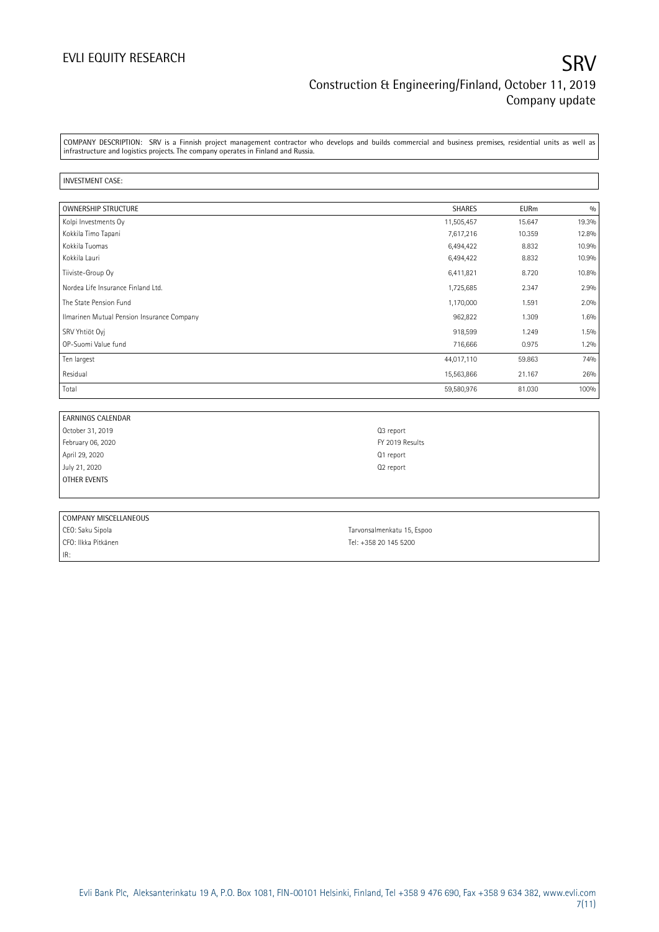### EVLI EQUITY RESEARCH SRV Construction & Engineering/Finland, October 11, 2019 Company update

COMPANY DESCRIPTION: SRV is a Finnish project management contractor who develops and builds commercial and business premises, residential units as well as infrastructure and logistics projects. The company operates in Finland and Russia.

### INVESTMENT CASE:

| <b>OWNERSHIP STRUCTURE</b>                 | <b>SHARES</b> | <b>EURm</b> | 0/0   |
|--------------------------------------------|---------------|-------------|-------|
| Kolpi Investments Oy                       | 11,505,457    | 15.647      | 19.3% |
| Kokkila Timo Tapani                        | 7,617,216     | 10.359      | 12.8% |
| Kokkila Tuomas                             | 6,494,422     | 8.832       | 10.9% |
| Kokkila Lauri                              | 6,494,422     | 8.832       | 10.9% |
| Tiiviste-Group Oy                          | 6,411,821     | 8.720       | 10.8% |
| Nordea Life Insurance Finland Ltd.         | 1,725,685     | 2.347       | 2.9%  |
| The State Pension Fund                     | 1,170,000     | 1.591       | 2.0%  |
| Ilmarinen Mutual Pension Insurance Company | 962,822       | 1.309       | 1.6%  |
| SRV Yhtiöt Oyj                             | 918,599       | 1.249       | 1.5%  |
| OP-Suomi Value fund                        | 716,666       | 0.975       | 1.2%  |
| Ten largest                                | 44,017,110    | 59.863      | 74%   |
| Residual                                   | 15,563,866    | 21.167      | 26%   |
| Total                                      | 59,580,976    | 81.030      | 100%  |

| EARNINGS CALENDAR |                       |
|-------------------|-----------------------|
| October 31, 2019  | Q <sub>3</sub> report |
| February 06, 2020 | FY 2019 Results       |
| April 29, 2020    | Q1 report             |
| July 21, 2020     | Q <sub>2</sub> report |
| OTHER EVENTS      |                       |
|                   |                       |

| COMPANY MISCELLANEOUS |                            |
|-----------------------|----------------------------|
| CEO: Saku Sipola      | Tarvonsalmenkatu 15, Espoo |
| CFO: Ilkka Pitkänen   | Tel: +358 20 145 5200      |
| IR:                   |                            |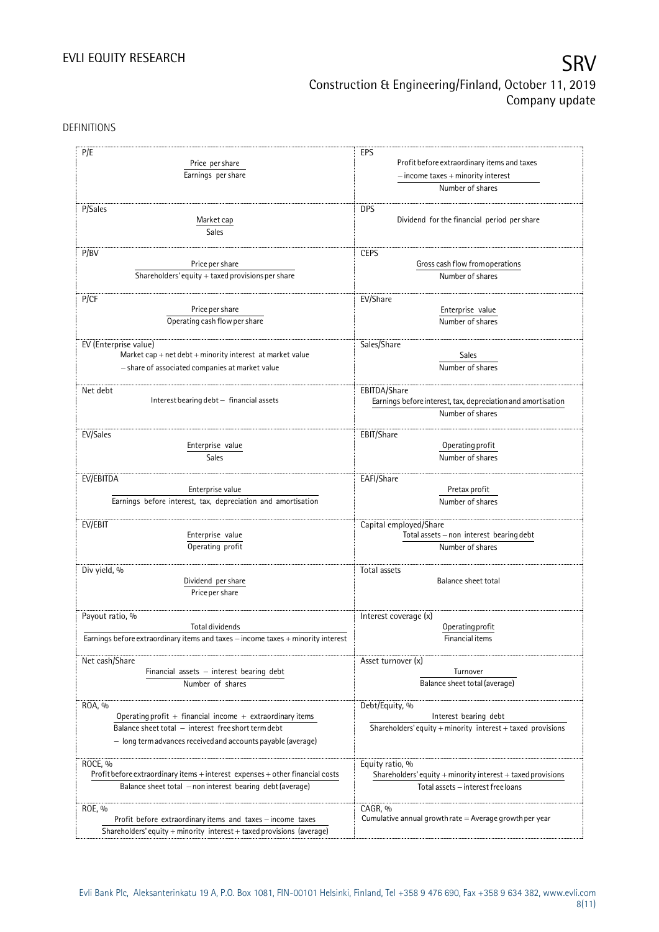DEFINITIONS

| P/E                                                                                  | EPS                                                                                   |  |  |
|--------------------------------------------------------------------------------------|---------------------------------------------------------------------------------------|--|--|
| Price per share                                                                      | Profit before extraordinary items and taxes<br>$-$ income taxes $+$ minority interest |  |  |
| Earnings per share                                                                   |                                                                                       |  |  |
|                                                                                      | Number of shares                                                                      |  |  |
|                                                                                      |                                                                                       |  |  |
| P/Sales                                                                              | <b>DPS</b>                                                                            |  |  |
| Market cap                                                                           | Dividend for the financial period per share                                           |  |  |
| Sales                                                                                |                                                                                       |  |  |
|                                                                                      |                                                                                       |  |  |
| P/BV                                                                                 | <b>CEPS</b>                                                                           |  |  |
| Price per share                                                                      | Gross cash flow from operations<br>Number of shares                                   |  |  |
| Shareholders' equity $+$ taxed provisions per share                                  |                                                                                       |  |  |
| P/CF                                                                                 | EV/Share                                                                              |  |  |
| Price per share                                                                      | Enterprise value                                                                      |  |  |
|                                                                                      |                                                                                       |  |  |
| Operating cash flow per share                                                        | Number of shares                                                                      |  |  |
|                                                                                      |                                                                                       |  |  |
| EV (Enterprise value)<br>Market cap + net $debt$ + minority interest at market value | Sales/Share<br>Sales                                                                  |  |  |
|                                                                                      |                                                                                       |  |  |
| - share of associated companies at market value                                      | Number of shares                                                                      |  |  |
| Net debt                                                                             | EBITDA/Share                                                                          |  |  |
| Interest bearing debt - financial assets                                             | Earnings before interest, tax, depreciation and amortisation                          |  |  |
|                                                                                      | Number of shares                                                                      |  |  |
|                                                                                      |                                                                                       |  |  |
| EV/Sales                                                                             | EBIT/Share                                                                            |  |  |
| Enterprise value                                                                     | Operating profit                                                                      |  |  |
| Sales                                                                                | Number of shares                                                                      |  |  |
|                                                                                      |                                                                                       |  |  |
| EV/EBITDA                                                                            | EAFI/Share                                                                            |  |  |
| Enterprise value                                                                     | Pretax profit                                                                         |  |  |
| Earnings before interest, tax, depreciation and amortisation                         | Number of shares                                                                      |  |  |
|                                                                                      |                                                                                       |  |  |
| EV/EBIT                                                                              | Capital employed/Share                                                                |  |  |
| Enterprise value                                                                     | Total assets - non interest bearing debt                                              |  |  |
| Operating profit                                                                     | Number of shares                                                                      |  |  |
|                                                                                      |                                                                                       |  |  |
| Div yield, %<br>Dividend per share                                                   | Total assets                                                                          |  |  |
|                                                                                      | Balance sheet total                                                                   |  |  |
| Price per share                                                                      |                                                                                       |  |  |
|                                                                                      | Interest coverage (x)                                                                 |  |  |
| Payout ratio, %<br><b>Total dividends</b>                                            | Operating profit                                                                      |  |  |
| Earnings before extraordinary items and taxes - income taxes + minority interest     | Financial items                                                                       |  |  |
|                                                                                      |                                                                                       |  |  |
| Net cash/Share                                                                       | Asset turnover (x)                                                                    |  |  |
| Financial assets - interest bearing debt                                             | Turnover                                                                              |  |  |
| Number of shares                                                                     | Balance sheet total (average)                                                         |  |  |
|                                                                                      |                                                                                       |  |  |
| ROA, %                                                                               | Debt/Equity, %                                                                        |  |  |
| Operating profit + financial income + extraordinary items                            | Interest bearing debt                                                                 |  |  |
| Balance sheet total - interest free short term debt                                  | Shareholders' equity + minority interest + taxed provisions                           |  |  |
| - long term advances received and accounts payable (average)                         |                                                                                       |  |  |
|                                                                                      |                                                                                       |  |  |
| ROCE, %                                                                              | Equity ratio, %                                                                       |  |  |
| Profit before extraordinary items + interest expenses + other financial costs        | Shareholders' equity $+$ minority interest $+$ taxed provisions                       |  |  |
| Balance sheet total - non interest bearing debt (average)                            | Total assets - interest free loans                                                    |  |  |
|                                                                                      |                                                                                       |  |  |
| ROE, %                                                                               | CAGR, %                                                                               |  |  |
| Profit before extraordinary items and taxes - income taxes                           | Cumulative annual growth rate $=$ Average growth per year                             |  |  |
| Shareholders' equity + minority interest + taxed provisions (average)                |                                                                                       |  |  |
|                                                                                      |                                                                                       |  |  |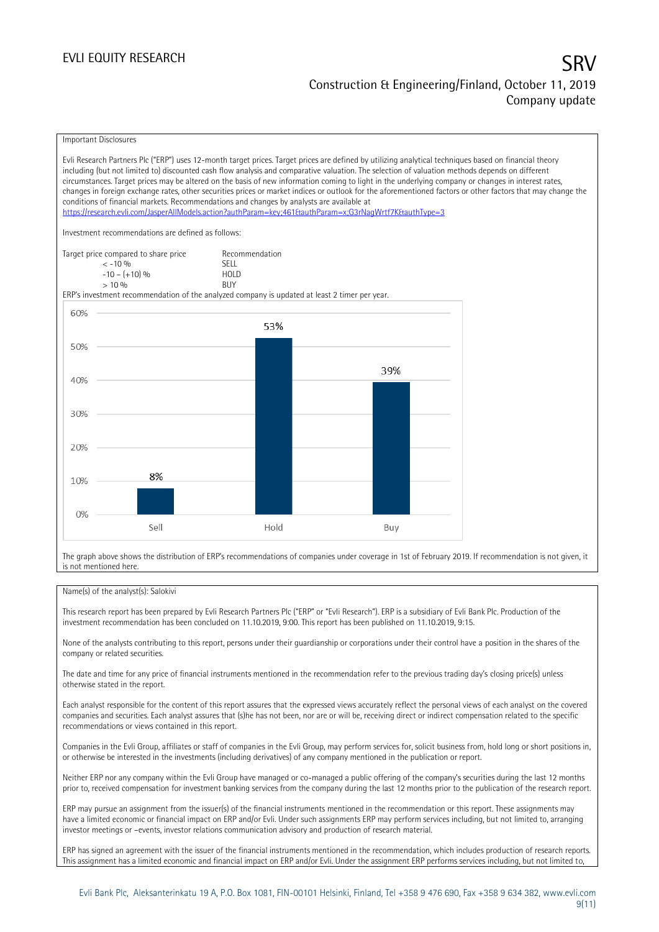Important Disclosures

Evli Research Partners Plc ("ERP") uses 12-month target prices. Target prices are defined by utilizing analytical techniques based on financial theory including (but not limited to) discounted cash flow analysis and comparative valuation. The selection of valuation methods depends on different circumstances. Target prices may be altered on the basis of new information coming to light in the underlying company or changes in interest rates, changes in foreign exchange rates, other securities prices or market indices or outlook for the aforementioned factors or other factors that may change the conditions of financial markets. Recommendations and changes by analysts are available at <https://research.evli.com/JasperAllModels.action?authParam=key;461&authParam=x;G3rNagWrtf7K&authType=3> Investment recommendations are defined as follows: Target price compared to share price Recommendation<br>  $\leq -10\%$  $\langle 5, 10, 10 \rangle$  SELL<br> $\langle -10, 10, 10 \rangle$  SELL  $-10 - (+10) \%$  HOL<br>  $> 10 \%$  RIJY  $> 10\%$ ERP's investment recommendation of the analyzed company is updated at least 2 timer per year. 60% 53% 50% 39% 40% 30% 20% 8% 10%  $0%$ Sell Hold Buy

The graph above shows the distribution of ERP's recommendations of companies under coverage in 1st of February 2019. If recommendation is not given, it is not mentioned here.

### Name(s) of the analyst(s): Salokivi

This research report has been prepared by Evli Research Partners Plc ("ERP" or "Evli Research"). ERP is a subsidiary of Evli Bank Plc. Production of the investment recommendation has been concluded on 11.10.2019, 9:00. This report has been published on 11.10.2019, 9:15.

None of the analysts contributing to this report, persons under their guardianship or corporations under their control have a position in the shares of the company or related securities.

The date and time for any price of financial instruments mentioned in the recommendation refer to the previous trading day's closing price(s) unless otherwise stated in the report.

Each analyst responsible for the content of this report assures that the expressed views accurately reflect the personal views of each analyst on the covered companies and securities. Each analyst assures that (s)he has not been, nor are or will be, receiving direct or indirect compensation related to the specific recommendations or views contained in this report.

Companies in the Evli Group, affiliates or staff of companies in the Evli Group, may perform services for, solicit business from, hold long or short positions in, or otherwise be interested in the investments (including derivatives) of any company mentioned in the publication or report.

Neither ERP nor any company within the Evli Group have managed or co-managed a public offering of the company's securities during the last 12 months prior to, received compensation for investment banking services from the company during the last 12 months prior to the publication of the research report.

ERP may pursue an assignment from the issuer(s) of the financial instruments mentioned in the recommendation or this report. These assignments may have a limited economic or financial impact on ERP and/or Evli. Under such assignments ERP may perform services including, but not limited to, arranging investor meetings or –events, investor relations communication advisory and production of research material.

ERP has signed an agreement with the issuer of the financial instruments mentioned in the recommendation, which includes production of research reports. This assignment has a limited economic and financial impact on ERP and/or Evli. Under the assignment ERP performs services including, but not limited to,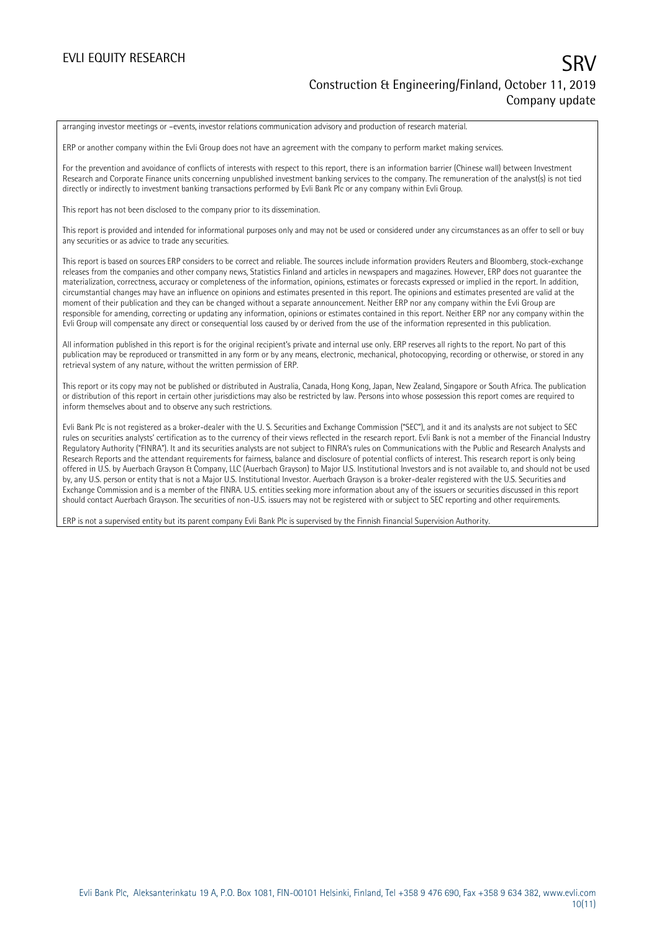arranging investor meetings or –events, investor relations communication advisory and production of research material.

ERP or another company within the Evli Group does not have an agreement with the company to perform market making services.

For the prevention and avoidance of conflicts of interests with respect to this report, there is an information barrier (Chinese wall) between Investment Research and Corporate Finance units concerning unpublished investment banking services to the company. The remuneration of the analyst(s) is not tied directly or indirectly to investment banking transactions performed by Evli Bank Plc or any company within Evli Group.

This report has not been disclosed to the company prior to its dissemination.

This report is provided and intended for informational purposes only and may not be used or considered under any circumstances as an offer to sell or buy any securities or as advice to trade any securities.

This report is based on sources ERP considers to be correct and reliable. The sources include information providers Reuters and Bloomberg, stock-exchange releases from the companies and other company news, Statistics Finland and articles in newspapers and magazines. However, ERP does not guarantee the materialization, correctness, accuracy or completeness of the information, opinions, estimates or forecasts expressed or implied in the report. In addition, circumstantial changes may have an influence on opinions and estimates presented in this report. The opinions and estimates presented are valid at the moment of their publication and they can be changed without a separate announcement. Neither ERP nor any company within the Evli Group are responsible for amending, correcting or updating any information, opinions or estimates contained in this report. Neither ERP nor any company within the Evli Group will compensate any direct or consequential loss caused by or derived from the use of the information represented in this publication.

All information published in this report is for the original recipient's private and internal use only. ERP reserves all rights to the report. No part of this publication may be reproduced or transmitted in any form or by any means, electronic, mechanical, photocopying, recording or otherwise, or stored in any retrieval system of any nature, without the written permission of ERP.

This report or its copy may not be published or distributed in Australia, Canada, Hong Kong, Japan, New Zealand, Singapore or South Africa. The publication or distribution of this report in certain other jurisdictions may also be restricted by law. Persons into whose possession this report comes are required to inform themselves about and to observe any such restrictions.

Evli Bank Plc is not registered as a broker-dealer with the U. S. Securities and Exchange Commission ("SEC"), and it and its analysts are not subject to SEC rules on securities analysts' certification as to the currency of their views reflected in the research report. Evli Bank is not a member of the Financial Industry Regulatory Authority ("FINRA"). It and its securities analysts are not subject to FINRA's rules on Communications with the Public and Research Analysts and Research Reports and the attendant requirements for fairness, balance and disclosure of potential conflicts of interest. This research report is only being offered in U.S. by Auerbach Grayson & Company, LLC (Auerbach Grayson) to Major U.S. Institutional Investors and is not available to, and should not be used by, any U.S. person or entity that is not a Major U.S. Institutional Investor. Auerbach Grayson is a broker-dealer registered with the U.S. Securities and Exchange Commission and is a member of the FINRA. U.S. entities seeking more information about any of the issuers or securities discussed in this report should contact Auerbach Grayson. The securities of non-U.S. issuers may not be registered with or subject to SEC reporting and other requirements.

ERP is not a supervised entity but its parent company Evli Bank Plc is supervised by the Finnish Financial Supervision Authority.